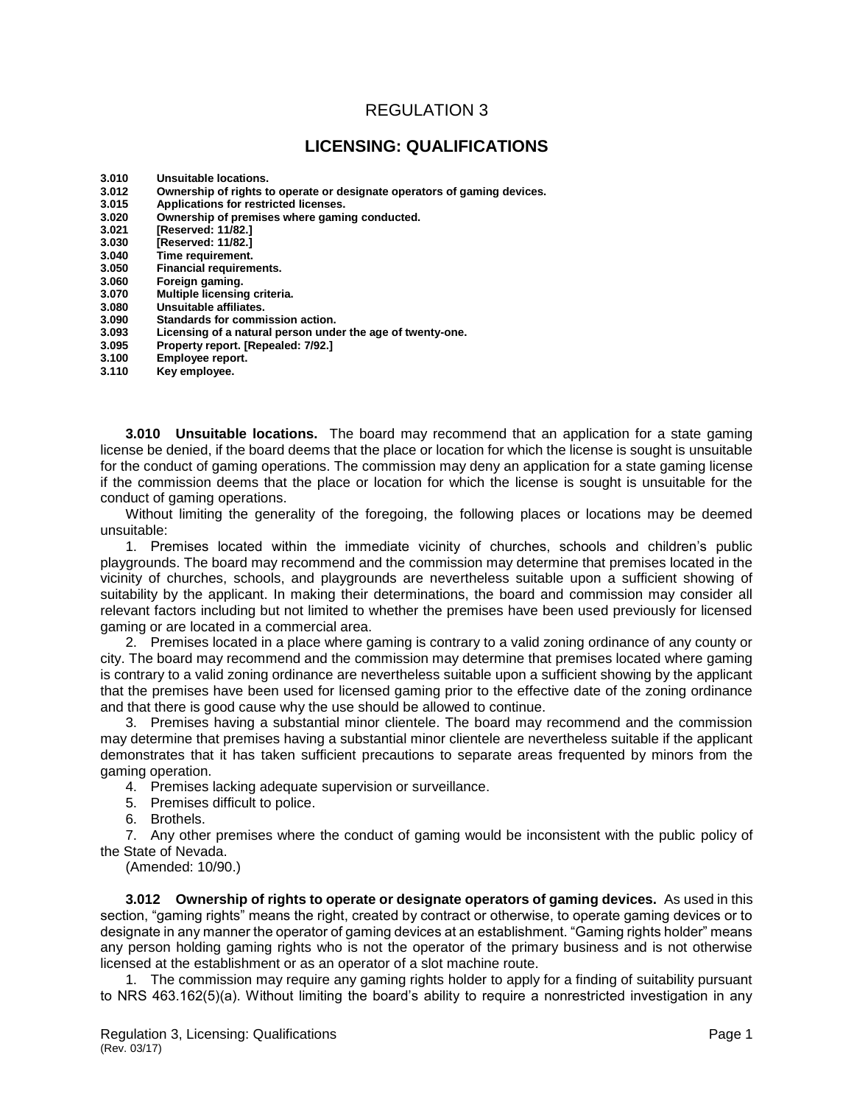# REGULATION 3

# **LICENSING: QUALIFICATIONS**

- **3.010 Unsuitable locations.**
- **3.012 Ownership of rights to operate or designate operators of gaming devices.**
- **3.015 Applications for restricted licenses.**
- **3.020 Ownership of premises where gaming conducted.**
- **3.021 [Reserved: 11/82.]**
- **3.030 [Reserved: 11/82.]**
- **3.040 Time requirement.**
- **3.050 Financial requirements. 3.060 Foreign gaming.**
- 
- **3.070 Multiple licensing criteria.**
- **3.080 Unsuitable affiliates.**
- **3.090 Standards for commission action. 3.093 Licensing of a natural person under the age of twenty-one.**
- **3.095 Property report. [Repealed: 7/92.]**
- **3.100 Employee report.**
- **3.110 Key employee.**

**3.010 Unsuitable locations.** The board may recommend that an application for a state gaming license be denied, if the board deems that the place or location for which the license is sought is unsuitable for the conduct of gaming operations. The commission may deny an application for a state gaming license if the commission deems that the place or location for which the license is sought is unsuitable for the conduct of gaming operations.

Without limiting the generality of the foregoing, the following places or locations may be deemed unsuitable:

1. Premises located within the immediate vicinity of churches, schools and children's public playgrounds. The board may recommend and the commission may determine that premises located in the vicinity of churches, schools, and playgrounds are nevertheless suitable upon a sufficient showing of suitability by the applicant. In making their determinations, the board and commission may consider all relevant factors including but not limited to whether the premises have been used previously for licensed gaming or are located in a commercial area.

2. Premises located in a place where gaming is contrary to a valid zoning ordinance of any county or city. The board may recommend and the commission may determine that premises located where gaming is contrary to a valid zoning ordinance are nevertheless suitable upon a sufficient showing by the applicant that the premises have been used for licensed gaming prior to the effective date of the zoning ordinance and that there is good cause why the use should be allowed to continue.

3. Premises having a substantial minor clientele. The board may recommend and the commission may determine that premises having a substantial minor clientele are nevertheless suitable if the applicant demonstrates that it has taken sufficient precautions to separate areas frequented by minors from the gaming operation.

4. Premises lacking adequate supervision or surveillance.

- 5. Premises difficult to police.
- 6. Brothels.

7. Any other premises where the conduct of gaming would be inconsistent with the public policy of the State of Nevada.

(Amended: 10/90.)

**3.012 Ownership of rights to operate or designate operators of gaming devices.** As used in this section, "gaming rights" means the right, created by contract or otherwise, to operate gaming devices or to designate in any manner the operator of gaming devices at an establishment. "Gaming rights holder" means any person holding gaming rights who is not the operator of the primary business and is not otherwise licensed at the establishment or as an operator of a slot machine route.

1. The commission may require any gaming rights holder to apply for a finding of suitability pursuant to NRS 463.162(5)(a). Without limiting the board's ability to require a nonrestricted investigation in any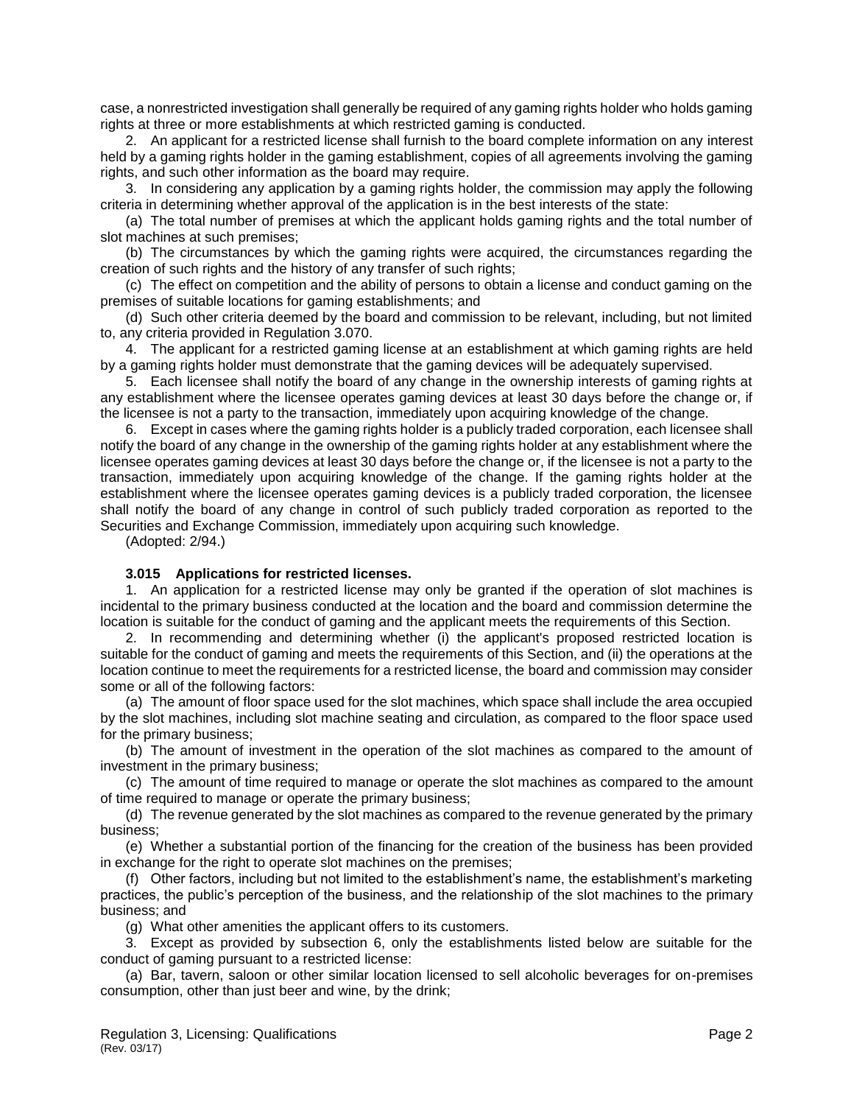case, a nonrestricted investigation shall generally be required of any gaming rights holder who holds gaming rights at three or more establishments at which restricted gaming is conducted.

2. An applicant for a restricted license shall furnish to the board complete information on any interest held by a gaming rights holder in the gaming establishment, copies of all agreements involving the gaming rights, and such other information as the board may require.

3. In considering any application by a gaming rights holder, the commission may apply the following criteria in determining whether approval of the application is in the best interests of the state:

(a) The total number of premises at which the applicant holds gaming rights and the total number of slot machines at such premises;

(b) The circumstances by which the gaming rights were acquired, the circumstances regarding the creation of such rights and the history of any transfer of such rights;

(c) The effect on competition and the ability of persons to obtain a license and conduct gaming on the premises of suitable locations for gaming establishments; and

(d) Such other criteria deemed by the board and commission to be relevant, including, but not limited to, any criteria provided in Regulation 3.070.

4. The applicant for a restricted gaming license at an establishment at which gaming rights are held by a gaming rights holder must demonstrate that the gaming devices will be adequately supervised.

5. Each licensee shall notify the board of any change in the ownership interests of gaming rights at any establishment where the licensee operates gaming devices at least 30 days before the change or, if the licensee is not a party to the transaction, immediately upon acquiring knowledge of the change.

6. Except in cases where the gaming rights holder is a publicly traded corporation, each licensee shall notify the board of any change in the ownership of the gaming rights holder at any establishment where the licensee operates gaming devices at least 30 days before the change or, if the licensee is not a party to the transaction, immediately upon acquiring knowledge of the change. If the gaming rights holder at the establishment where the licensee operates gaming devices is a publicly traded corporation, the licensee shall notify the board of any change in control of such publicly traded corporation as reported to the Securities and Exchange Commission, immediately upon acquiring such knowledge.

(Adopted: 2/94.)

# **3.015 Applications for restricted licenses.**

1. An application for a restricted license may only be granted if the operation of slot machines is incidental to the primary business conducted at the location and the board and commission determine the location is suitable for the conduct of gaming and the applicant meets the requirements of this Section.

2. In recommending and determining whether (i) the applicant's proposed restricted location is suitable for the conduct of gaming and meets the requirements of this Section, and (ii) the operations at the location continue to meet the requirements for a restricted license, the board and commission may consider some or all of the following factors:

(a) The amount of floor space used for the slot machines, which space shall include the area occupied by the slot machines, including slot machine seating and circulation, as compared to the floor space used for the primary business;

(b) The amount of investment in the operation of the slot machines as compared to the amount of investment in the primary business;

(c) The amount of time required to manage or operate the slot machines as compared to the amount of time required to manage or operate the primary business;

(d) The revenue generated by the slot machines as compared to the revenue generated by the primary business;

(e) Whether a substantial portion of the financing for the creation of the business has been provided in exchange for the right to operate slot machines on the premises:

(f) Other factors, including but not limited to the establishment's name, the establishment's marketing practices, the public's perception of the business, and the relationship of the slot machines to the primary business; and

(g) What other amenities the applicant offers to its customers.

3. Except as provided by subsection 6, only the establishments listed below are suitable for the conduct of gaming pursuant to a restricted license:

(a) Bar, tavern, saloon or other similar location licensed to sell alcoholic beverages for on-premises consumption, other than just beer and wine, by the drink;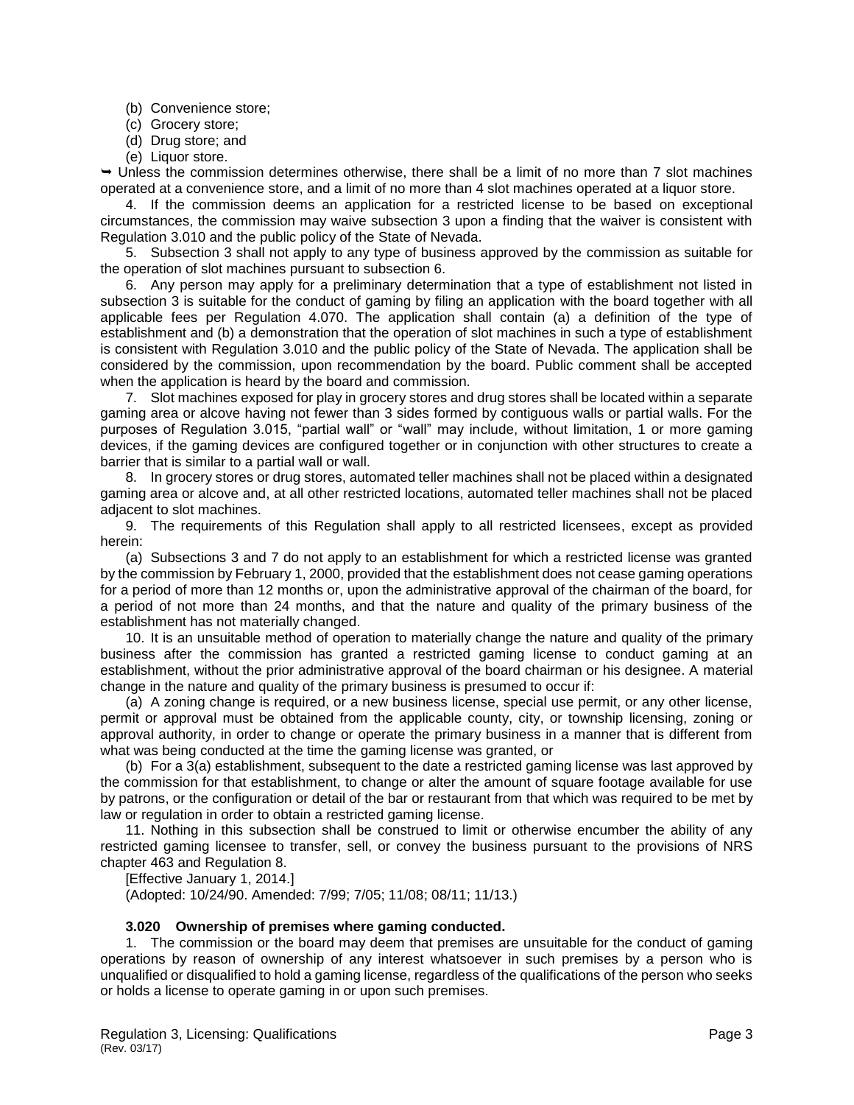- (b) Convenience store;
- (c) Grocery store;
- (d) Drug store; and
- (e) Liquor store.

 $\rightarrow$  Unless the commission determines otherwise, there shall be a limit of no more than 7 slot machines operated at a convenience store, and a limit of no more than 4 slot machines operated at a liquor store.

4. If the commission deems an application for a restricted license to be based on exceptional circumstances, the commission may waive subsection 3 upon a finding that the waiver is consistent with Regulation 3.010 and the public policy of the State of Nevada.

5. Subsection 3 shall not apply to any type of business approved by the commission as suitable for the operation of slot machines pursuant to subsection 6.

6. Any person may apply for a preliminary determination that a type of establishment not listed in subsection 3 is suitable for the conduct of gaming by filing an application with the board together with all applicable fees per Regulation 4.070. The application shall contain (a) a definition of the type of establishment and (b) a demonstration that the operation of slot machines in such a type of establishment is consistent with Regulation 3.010 and the public policy of the State of Nevada. The application shall be considered by the commission, upon recommendation by the board. Public comment shall be accepted when the application is heard by the board and commission.

7. Slot machines exposed for play in grocery stores and drug stores shall be located within a separate gaming area or alcove having not fewer than 3 sides formed by contiguous walls or partial walls. For the purposes of Regulation 3.015, "partial wall" or "wall" may include, without limitation, 1 or more gaming devices, if the gaming devices are configured together or in conjunction with other structures to create a barrier that is similar to a partial wall or wall.

8. In grocery stores or drug stores, automated teller machines shall not be placed within a designated gaming area or alcove and, at all other restricted locations, automated teller machines shall not be placed adjacent to slot machines.

9. The requirements of this Regulation shall apply to all restricted licensees, except as provided herein:

(a) Subsections 3 and 7 do not apply to an establishment for which a restricted license was granted by the commission by February 1, 2000, provided that the establishment does not cease gaming operations for a period of more than 12 months or, upon the administrative approval of the chairman of the board, for a period of not more than 24 months, and that the nature and quality of the primary business of the establishment has not materially changed.

10. It is an unsuitable method of operation to materially change the nature and quality of the primary business after the commission has granted a restricted gaming license to conduct gaming at an establishment, without the prior administrative approval of the board chairman or his designee. A material change in the nature and quality of the primary business is presumed to occur if:

(a) A zoning change is required, or a new business license, special use permit, or any other license, permit or approval must be obtained from the applicable county, city, or township licensing, zoning or approval authority, in order to change or operate the primary business in a manner that is different from what was being conducted at the time the gaming license was granted, or

(b) For a 3(a) establishment, subsequent to the date a restricted gaming license was last approved by the commission for that establishment, to change or alter the amount of square footage available for use by patrons, or the configuration or detail of the bar or restaurant from that which was required to be met by law or regulation in order to obtain a restricted gaming license.

11. Nothing in this subsection shall be construed to limit or otherwise encumber the ability of any restricted gaming licensee to transfer, sell, or convey the business pursuant to the provisions of NRS chapter 463 and Regulation 8.

[Effective January 1, 2014.]

(Adopted: 10/24/90. Amended: 7/99; 7/05; 11/08; 08/11; 11/13.)

# **3.020 Ownership of premises where gaming conducted.**

1. The commission or the board may deem that premises are unsuitable for the conduct of gaming operations by reason of ownership of any interest whatsoever in such premises by a person who is unqualified or disqualified to hold a gaming license, regardless of the qualifications of the person who seeks or holds a license to operate gaming in or upon such premises.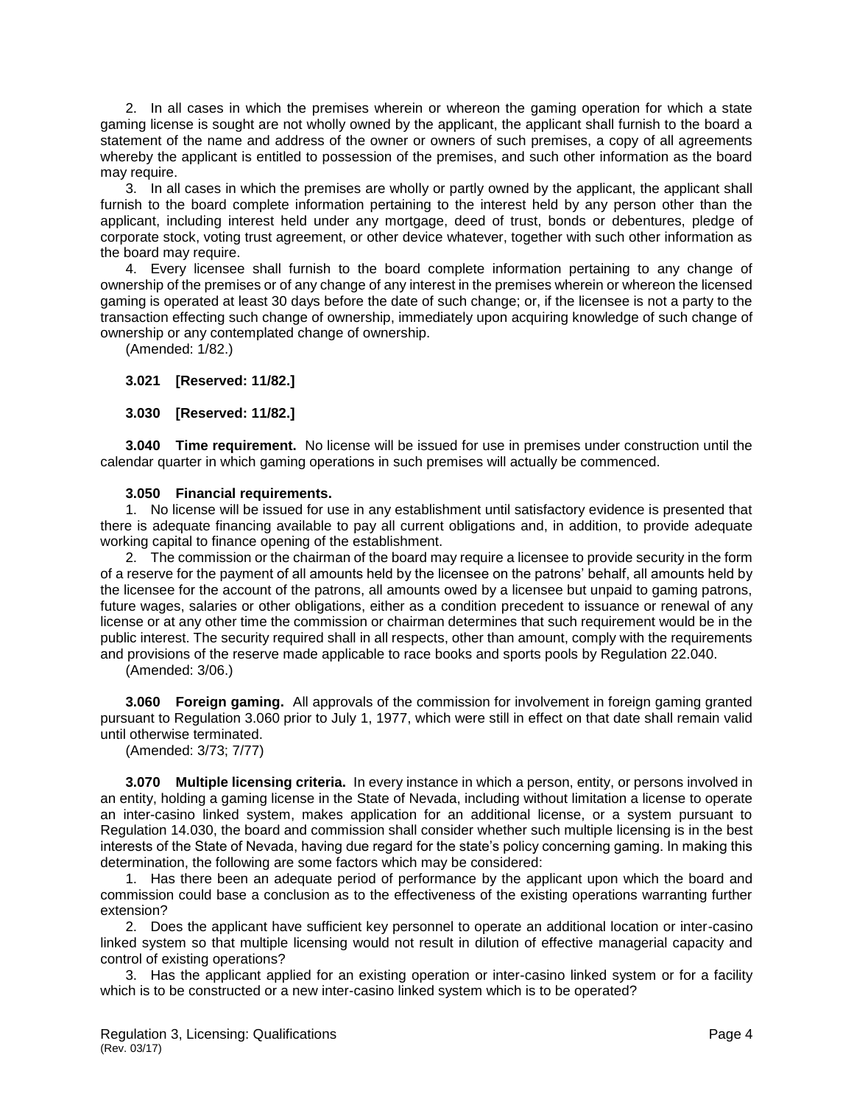2. In all cases in which the premises wherein or whereon the gaming operation for which a state gaming license is sought are not wholly owned by the applicant, the applicant shall furnish to the board a statement of the name and address of the owner or owners of such premises, a copy of all agreements whereby the applicant is entitled to possession of the premises, and such other information as the board may require.

3. In all cases in which the premises are wholly or partly owned by the applicant, the applicant shall furnish to the board complete information pertaining to the interest held by any person other than the applicant, including interest held under any mortgage, deed of trust, bonds or debentures, pledge of corporate stock, voting trust agreement, or other device whatever, together with such other information as the board may require.

4. Every licensee shall furnish to the board complete information pertaining to any change of ownership of the premises or of any change of any interest in the premises wherein or whereon the licensed gaming is operated at least 30 days before the date of such change; or, if the licensee is not a party to the transaction effecting such change of ownership, immediately upon acquiring knowledge of such change of ownership or any contemplated change of ownership.

(Amended: 1/82.)

# **3.021 [Reserved: 11/82.]**

#### **3.030 [Reserved: 11/82.]**

**3.040 Time requirement.** No license will be issued for use in premises under construction until the calendar quarter in which gaming operations in such premises will actually be commenced.

#### **3.050 Financial requirements.**

1. No license will be issued for use in any establishment until satisfactory evidence is presented that there is adequate financing available to pay all current obligations and, in addition, to provide adequate working capital to finance opening of the establishment.

2. The commission or the chairman of the board may require a licensee to provide security in the form of a reserve for the payment of all amounts held by the licensee on the patrons' behalf, all amounts held by the licensee for the account of the patrons, all amounts owed by a licensee but unpaid to gaming patrons, future wages, salaries or other obligations, either as a condition precedent to issuance or renewal of any license or at any other time the commission or chairman determines that such requirement would be in the public interest. The security required shall in all respects, other than amount, comply with the requirements and provisions of the reserve made applicable to race books and sports pools by Regulation 22.040.

(Amended: 3/06.)

**3.060 Foreign gaming.** All approvals of the commission for involvement in foreign gaming granted pursuant to Regulation 3.060 prior to July 1, 1977, which were still in effect on that date shall remain valid until otherwise terminated.

(Amended: 3/73; 7/77)

**3.070 Multiple licensing criteria.** In every instance in which a person, entity, or persons involved in an entity, holding a gaming license in the State of Nevada, including without limitation a license to operate an inter-casino linked system, makes application for an additional license, or a system pursuant to Regulation 14.030, the board and commission shall consider whether such multiple licensing is in the best interests of the State of Nevada, having due regard for the state's policy concerning gaming. In making this determination, the following are some factors which may be considered:

1. Has there been an adequate period of performance by the applicant upon which the board and commission could base a conclusion as to the effectiveness of the existing operations warranting further extension?

2. Does the applicant have sufficient key personnel to operate an additional location or inter-casino linked system so that multiple licensing would not result in dilution of effective managerial capacity and control of existing operations?

3. Has the applicant applied for an existing operation or inter-casino linked system or for a facility which is to be constructed or a new inter-casino linked system which is to be operated?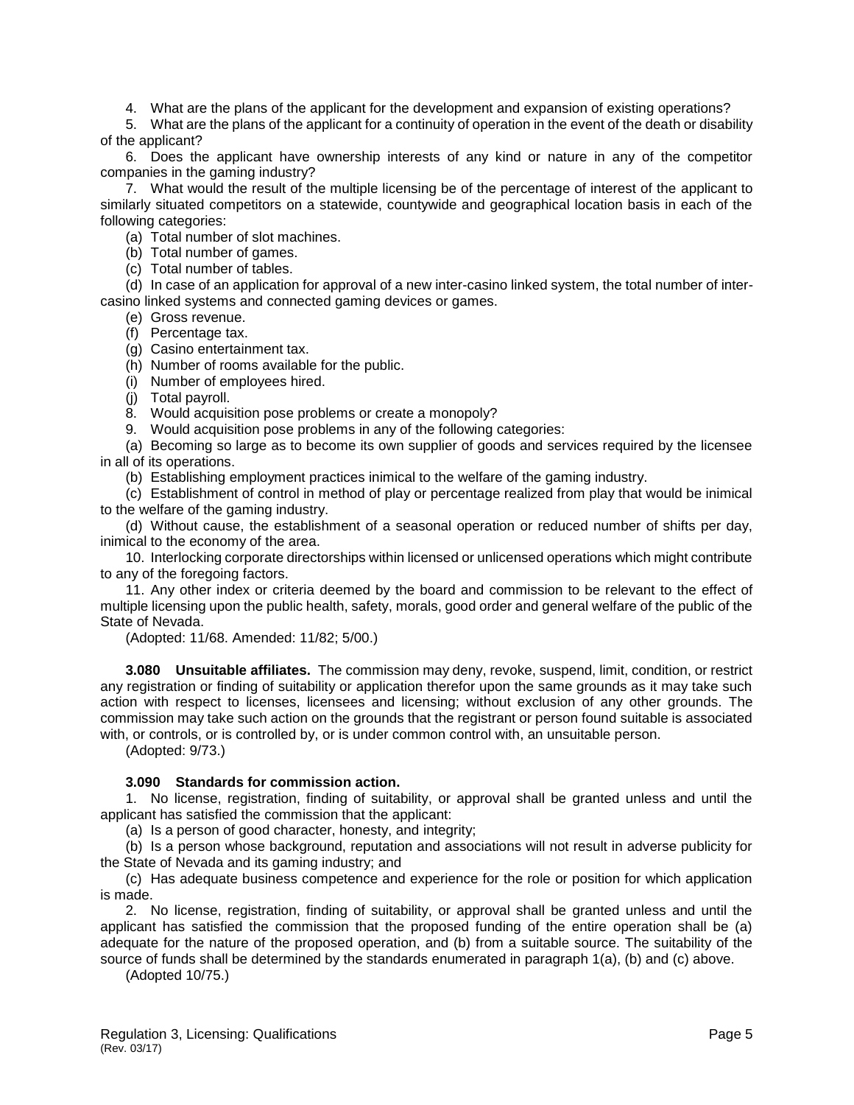4. What are the plans of the applicant for the development and expansion of existing operations?

5. What are the plans of the applicant for a continuity of operation in the event of the death or disability of the applicant?

6. Does the applicant have ownership interests of any kind or nature in any of the competitor companies in the gaming industry?

7. What would the result of the multiple licensing be of the percentage of interest of the applicant to similarly situated competitors on a statewide, countywide and geographical location basis in each of the following categories:

(a) Total number of slot machines.

- (b) Total number of games.
- (c) Total number of tables.

(d) In case of an application for approval of a new inter-casino linked system, the total number of intercasino linked systems and connected gaming devices or games.

(e) Gross revenue.

(f) Percentage tax.

(g) Casino entertainment tax.

- (h) Number of rooms available for the public.
- (i) Number of employees hired.

(j) Total payroll.

8. Would acquisition pose problems or create a monopoly?

9. Would acquisition pose problems in any of the following categories:

(a) Becoming so large as to become its own supplier of goods and services required by the licensee in all of its operations.

(b) Establishing employment practices inimical to the welfare of the gaming industry.

(c) Establishment of control in method of play or percentage realized from play that would be inimical to the welfare of the gaming industry.

(d) Without cause, the establishment of a seasonal operation or reduced number of shifts per day, inimical to the economy of the area.

10. Interlocking corporate directorships within licensed or unlicensed operations which might contribute to any of the foregoing factors.

11. Any other index or criteria deemed by the board and commission to be relevant to the effect of multiple licensing upon the public health, safety, morals, good order and general welfare of the public of the State of Nevada.

(Adopted: 11/68. Amended: 11/82; 5/00.)

**3.080 Unsuitable affiliates.** The commission may deny, revoke, suspend, limit, condition, or restrict any registration or finding of suitability or application therefor upon the same grounds as it may take such action with respect to licenses, licensees and licensing; without exclusion of any other grounds. The commission may take such action on the grounds that the registrant or person found suitable is associated with, or controls, or is controlled by, or is under common control with, an unsuitable person.

(Adopted: 9/73.)

# **3.090 Standards for commission action.**

1. No license, registration, finding of suitability, or approval shall be granted unless and until the applicant has satisfied the commission that the applicant:

(a) Is a person of good character, honesty, and integrity;

(b) Is a person whose background, reputation and associations will not result in adverse publicity for the State of Nevada and its gaming industry; and

(c) Has adequate business competence and experience for the role or position for which application is made.

2. No license, registration, finding of suitability, or approval shall be granted unless and until the applicant has satisfied the commission that the proposed funding of the entire operation shall be (a) adequate for the nature of the proposed operation, and (b) from a suitable source. The suitability of the source of funds shall be determined by the standards enumerated in paragraph 1(a), (b) and (c) above.

(Adopted 10/75.)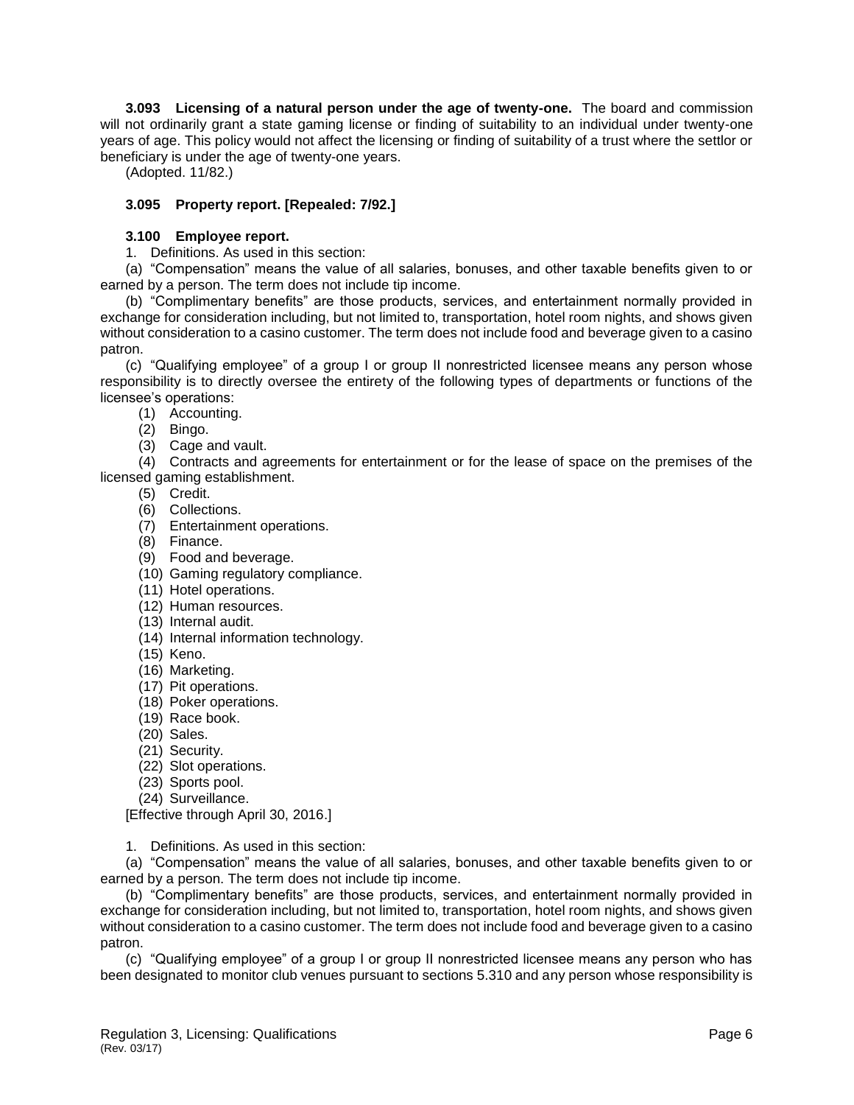**3.093 Licensing of a natural person under the age of twenty-one.** The board and commission will not ordinarily grant a state gaming license or finding of suitability to an individual under twenty-one years of age. This policy would not affect the licensing or finding of suitability of a trust where the settlor or beneficiary is under the age of twenty-one years.

(Adopted. 11/82.)

# **3.095 Property report. [Repealed: 7/92.]**

# **3.100 Employee report.**

1. Definitions. As used in this section:

(a) "Compensation" means the value of all salaries, bonuses, and other taxable benefits given to or earned by a person. The term does not include tip income.

(b) "Complimentary benefits" are those products, services, and entertainment normally provided in exchange for consideration including, but not limited to, transportation, hotel room nights, and shows given without consideration to a casino customer. The term does not include food and beverage given to a casino patron.

(c) "Qualifying employee" of a group I or group II nonrestricted licensee means any person whose responsibility is to directly oversee the entirety of the following types of departments or functions of the licensee's operations:

- (1) Accounting.
- (2) Bingo.
- (3) Cage and vault.

(4) Contracts and agreements for entertainment or for the lease of space on the premises of the licensed gaming establishment.

- (5) Credit.
- (6) Collections.
- (7) Entertainment operations.
- (8) Finance.
- (9) Food and beverage.
- (10) Gaming regulatory compliance.
- (11) Hotel operations.
- (12) Human resources.
- (13) Internal audit.
- (14) Internal information technology.
- (15) Keno.
- (16) Marketing.
- (17) Pit operations.
- (18) Poker operations.
- (19) Race book.
- (20) Sales.
- (21) Security.
- (22) Slot operations.
- (23) Sports pool.
- (24) Surveillance.

[Effective through April 30, 2016.]

1. Definitions. As used in this section:

(a) "Compensation" means the value of all salaries, bonuses, and other taxable benefits given to or earned by a person. The term does not include tip income.

(b) "Complimentary benefits" are those products, services, and entertainment normally provided in exchange for consideration including, but not limited to, transportation, hotel room nights, and shows given without consideration to a casino customer. The term does not include food and beverage given to a casino patron.

(c) "Qualifying employee" of a group I or group II nonrestricted licensee means any person who has been designated to monitor club venues pursuant to sections 5.310 and any person whose responsibility is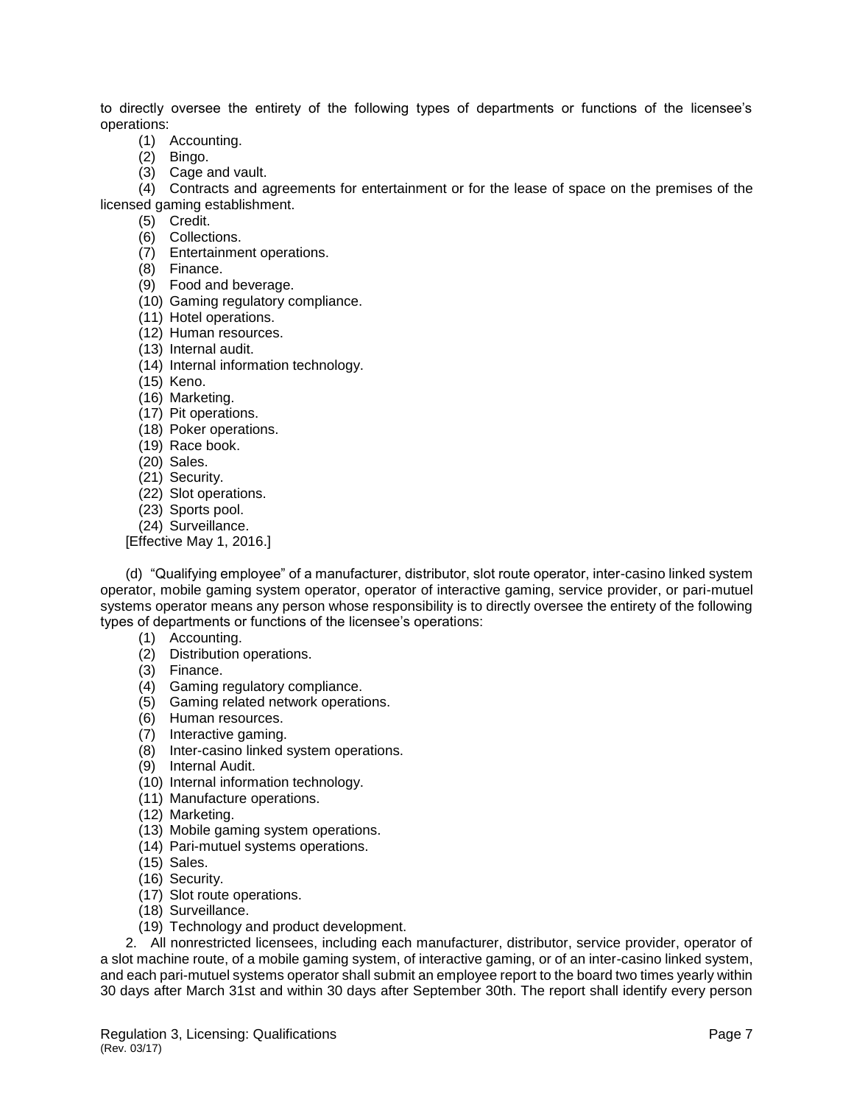to directly oversee the entirety of the following types of departments or functions of the licensee's operations:

- (1) Accounting.
- (2) Bingo.
- (3) Cage and vault.

(4) Contracts and agreements for entertainment or for the lease of space on the premises of the licensed gaming establishment.

(5) Credit.

- (6) Collections.
- (7) Entertainment operations.
- (8) Finance.
- (9) Food and beverage.
- (10) Gaming regulatory compliance.
- (11) Hotel operations.
- (12) Human resources.
- (13) Internal audit.
- (14) Internal information technology.
- (15) Keno.
- (16) Marketing.
- (17) Pit operations.
- (18) Poker operations.
- (19) Race book.
- (20) Sales.
- (21) Security.
- (22) Slot operations.
- (23) Sports pool.
- (24) Surveillance.

[Effective May 1, 2016.]

(d) "Qualifying employee" of a manufacturer, distributor, slot route operator, inter-casino linked system operator, mobile gaming system operator, operator of interactive gaming, service provider, or pari-mutuel systems operator means any person whose responsibility is to directly oversee the entirety of the following types of departments or functions of the licensee's operations:

- (1) Accounting.
- (2) Distribution operations.
- (3) Finance.
- (4) Gaming regulatory compliance.
- (5) Gaming related network operations.
- (6) Human resources.
- (7) Interactive gaming.
- (8) Inter-casino linked system operations.
- (9) Internal Audit.
- (10) Internal information technology.
- (11) Manufacture operations.
- (12) Marketing.
- (13) Mobile gaming system operations.
- (14) Pari-mutuel systems operations.
- (15) Sales.
- (16) Security.
- (17) Slot route operations.
- (18) Surveillance.
- (19) Technology and product development.

2. All nonrestricted licensees, including each manufacturer, distributor, service provider, operator of a slot machine route, of a mobile gaming system, of interactive gaming, or of an inter-casino linked system, and each pari-mutuel systems operator shall submit an employee report to the board two times yearly within 30 days after March 31st and within 30 days after September 30th. The report shall identify every person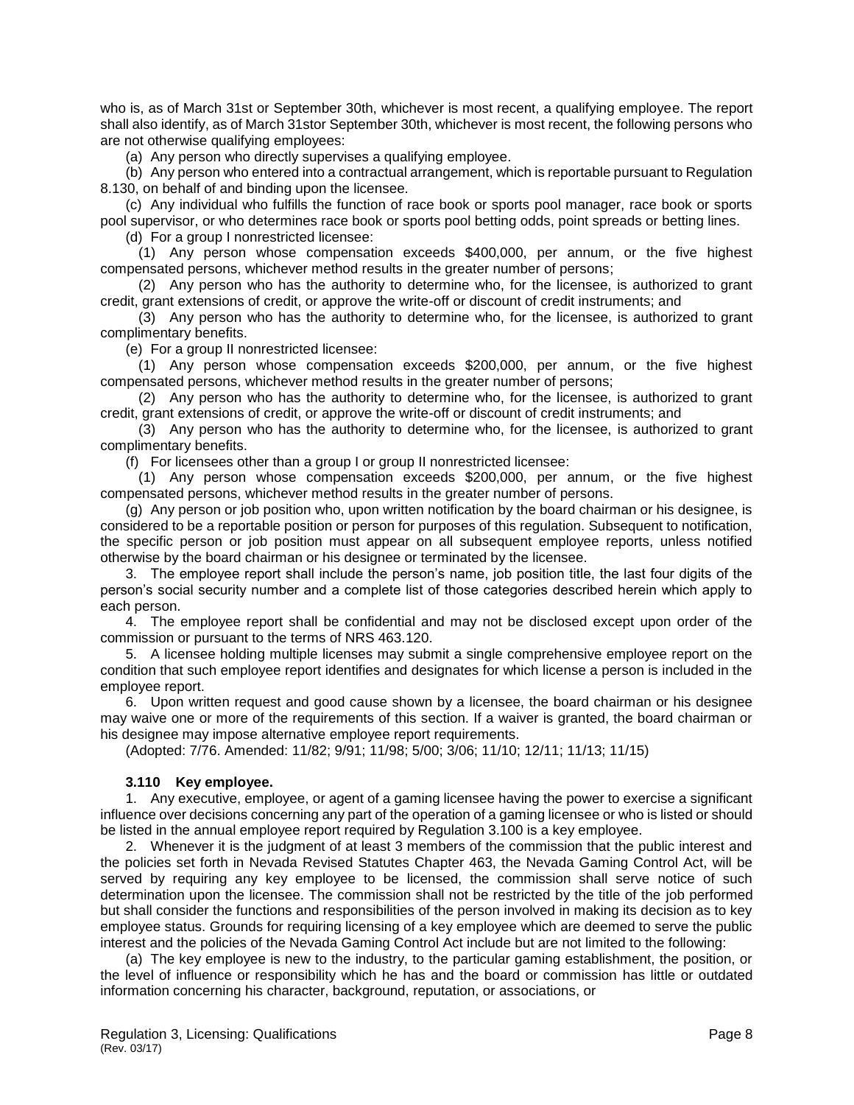who is, as of March 31st or September 30th, whichever is most recent, a qualifying employee. The report shall also identify, as of March 31stor September 30th, whichever is most recent, the following persons who are not otherwise qualifying employees:

(a) Any person who directly supervises a qualifying employee.

(b) Any person who entered into a contractual arrangement, which is reportable pursuant to Regulation 8.130, on behalf of and binding upon the licensee.

(c) Any individual who fulfills the function of race book or sports pool manager, race book or sports pool supervisor, or who determines race book or sports pool betting odds, point spreads or betting lines.

(d) For a group I nonrestricted licensee:

(1) Any person whose compensation exceeds \$400,000, per annum, or the five highest compensated persons, whichever method results in the greater number of persons;

(2) Any person who has the authority to determine who, for the licensee, is authorized to grant credit, grant extensions of credit, or approve the write-off or discount of credit instruments; and

(3) Any person who has the authority to determine who, for the licensee, is authorized to grant complimentary benefits.

(e) For a group II nonrestricted licensee:

(1) Any person whose compensation exceeds \$200,000, per annum, or the five highest compensated persons, whichever method results in the greater number of persons;

(2) Any person who has the authority to determine who, for the licensee, is authorized to grant credit, grant extensions of credit, or approve the write-off or discount of credit instruments; and

(3) Any person who has the authority to determine who, for the licensee, is authorized to grant complimentary benefits.

(f) For licensees other than a group I or group II nonrestricted licensee:

(1) Any person whose compensation exceeds \$200,000, per annum, or the five highest compensated persons, whichever method results in the greater number of persons.

(g) Any person or job position who, upon written notification by the board chairman or his designee, is considered to be a reportable position or person for purposes of this regulation. Subsequent to notification, the specific person or job position must appear on all subsequent employee reports, unless notified otherwise by the board chairman or his designee or terminated by the licensee.

3. The employee report shall include the person's name, job position title, the last four digits of the person's social security number and a complete list of those categories described herein which apply to each person.

4. The employee report shall be confidential and may not be disclosed except upon order of the commission or pursuant to the terms of NRS 463.120.

5. A licensee holding multiple licenses may submit a single comprehensive employee report on the condition that such employee report identifies and designates for which license a person is included in the employee report.

6. Upon written request and good cause shown by a licensee, the board chairman or his designee may waive one or more of the requirements of this section. If a waiver is granted, the board chairman or his designee may impose alternative employee report requirements.

(Adopted: 7/76. Amended: 11/82; 9/91; 11/98; 5/00; 3/06; 11/10; 12/11; 11/13; 11/15)

# **3.110 Key employee.**

1. Any executive, employee, or agent of a gaming licensee having the power to exercise a significant influence over decisions concerning any part of the operation of a gaming licensee or who is listed or should be listed in the annual employee report required by Regulation 3.100 is a key employee.

2. Whenever it is the judgment of at least 3 members of the commission that the public interest and the policies set forth in Nevada Revised Statutes Chapter 463, the Nevada Gaming Control Act, will be served by requiring any key employee to be licensed, the commission shall serve notice of such determination upon the licensee. The commission shall not be restricted by the title of the job performed but shall consider the functions and responsibilities of the person involved in making its decision as to key employee status. Grounds for requiring licensing of a key employee which are deemed to serve the public interest and the policies of the Nevada Gaming Control Act include but are not limited to the following:

(a) The key employee is new to the industry, to the particular gaming establishment, the position, or the level of influence or responsibility which he has and the board or commission has little or outdated information concerning his character, background, reputation, or associations, or